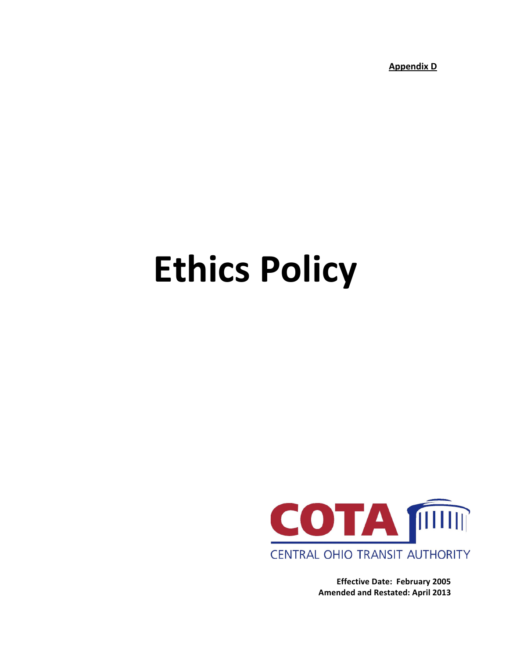**Appendix D** 

# **Ethics Policy**



**Effective Date: February 2005 Amended and Restated: April 2013**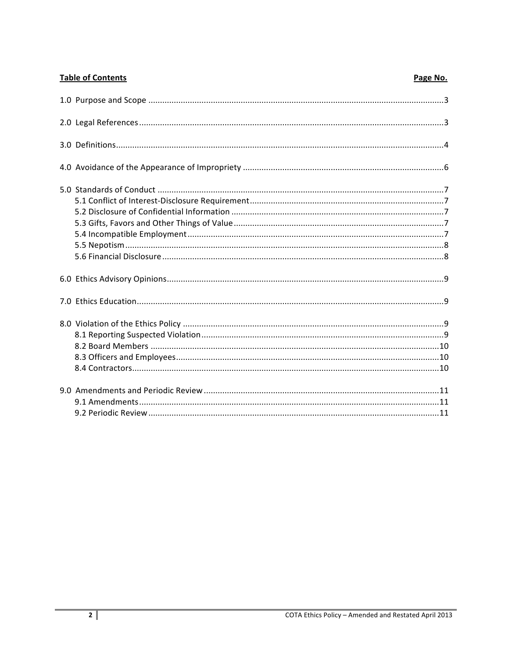| <b>Table of Contents</b> | Page No. |
|--------------------------|----------|
|                          |          |
|                          |          |
|                          |          |
|                          |          |
|                          |          |
|                          |          |
|                          |          |
|                          |          |
|                          |          |
|                          |          |
|                          |          |
|                          |          |
|                          |          |
|                          |          |
|                          |          |
|                          |          |
|                          |          |
|                          |          |
|                          |          |
|                          |          |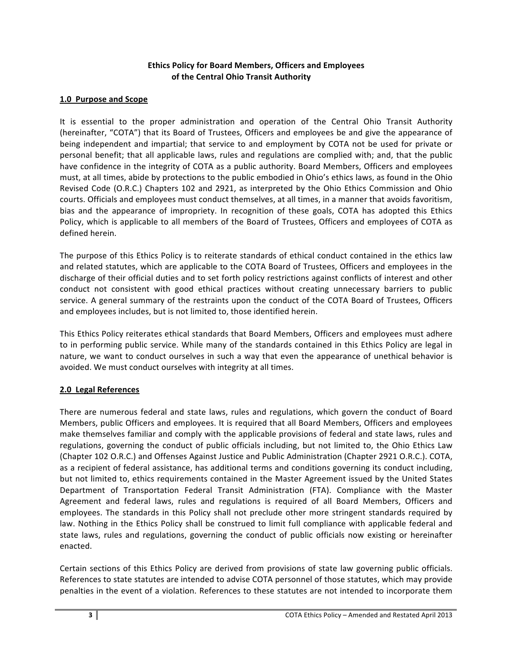## **Ethics Policy for Board Members, Officers and Employees of the Central Ohio Transit Authority**

## **1.0 Purpose and Scope**

It is essential to the proper administration and operation of the Central Ohio Transit Authority (hereinafter, "COTA") that its Board of Trustees, Officers and employees be and give the appearance of being independent and impartial; that service to and employment by COTA not be used for private or personal benefit; that all applicable laws, rules and regulations are complied with; and, that the public have confidence in the integrity of COTA as a public authority. Board Members, Officers and employees must, at all times, abide by protections to the public embodied in Ohio's ethics laws, as found in the Ohio Revised Code (O.R.C.) Chapters 102 and 2921, as interpreted by the Ohio Ethics Commission and Ohio courts. Officials and employees must conduct themselves, at all times, in a manner that avoids favoritism, bias and the appearance of impropriety. In recognition of these goals, COTA has adopted this Ethics Policy, which is applicable to all members of the Board of Trustees, Officers and employees of COTA as defined herein.

The purpose of this Ethics Policy is to reiterate standards of ethical conduct contained in the ethics law and related statutes, which are applicable to the COTA Board of Trustees, Officers and employees in the discharge of their official duties and to set forth policy restrictions against conflicts of interest and other conduct not consistent with good ethical practices without creating unnecessary barriers to public service. A general summary of the restraints upon the conduct of the COTA Board of Trustees, Officers and employees includes, but is not limited to, those identified herein.

This Ethics Policy reiterates ethical standards that Board Members, Officers and employees must adhere to in performing public service. While many of the standards contained in this Ethics Policy are legal in nature, we want to conduct ourselves in such a way that even the appearance of unethical behavior is avoided. We must conduct ourselves with integrity at all times.

# **2.0 Legal References**

There are numerous federal and state laws, rules and regulations, which govern the conduct of Board Members, public Officers and employees. It is required that all Board Members, Officers and employees make themselves familiar and comply with the applicable provisions of federal and state laws, rules and regulations, governing the conduct of public officials including, but not limited to, the Ohio Ethics Law (Chapter 102 O.R.C.) and Offenses Against Justice and Public Administration (Chapter 2921 O.R.C.). COTA, as a recipient of federal assistance, has additional terms and conditions governing its conduct including, but not limited to, ethics requirements contained in the Master Agreement issued by the United States Department of Transportation Federal Transit Administration (FTA). Compliance with the Master Agreement and federal laws, rules and regulations is required of all Board Members, Officers and employees. The standards in this Policy shall not preclude other more stringent standards required by law. Nothing in the Ethics Policy shall be construed to limit full compliance with applicable federal and state laws, rules and regulations, governing the conduct of public officials now existing or hereinafter enacted. 

Certain sections of this Ethics Policy are derived from provisions of state law governing public officials. References to state statutes are intended to advise COTA personnel of those statutes, which may provide penalties in the event of a violation. References to these statutes are not intended to incorporate them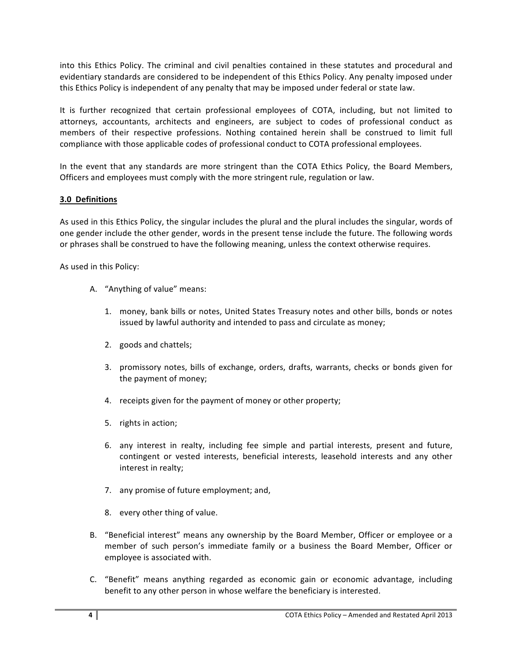into this Ethics Policy. The criminal and civil penalties contained in these statutes and procedural and evidentiary standards are considered to be independent of this Ethics Policy. Any penalty imposed under this Ethics Policy is independent of any penalty that may be imposed under federal or state law.

It is further recognized that certain professional employees of COTA, including, but not limited to attorneys, accountants, architects and engineers, are subject to codes of professional conduct as members of their respective professions. Nothing contained herein shall be construed to limit full compliance with those applicable codes of professional conduct to COTA professional employees.

In the event that any standards are more stringent than the COTA Ethics Policy, the Board Members, Officers and employees must comply with the more stringent rule, regulation or law.

# **3.0 Definitions**

As used in this Ethics Policy, the singular includes the plural and the plural includes the singular, words of one gender include the other gender, words in the present tense include the future. The following words or phrases shall be construed to have the following meaning, unless the context otherwise requires.

As used in this Policy:

- A. "Anything of value" means:
	- 1. money, bank bills or notes, United States Treasury notes and other bills, bonds or notes issued by lawful authority and intended to pass and circulate as money;
	- 2. goods and chattels;
	- 3. promissory notes, bills of exchange, orders, drafts, warrants, checks or bonds given for the payment of money;
	- 4. receipts given for the payment of money or other property;
	- 5. rights in action;
	- 6. any interest in realty, including fee simple and partial interests, present and future, contingent or vested interests, beneficial interests, leasehold interests and any other interest in realty;
	- 7. any promise of future employment; and,
	- 8. every other thing of value.
- B. "Beneficial interest" means any ownership by the Board Member, Officer or employee or a member of such person's immediate family or a business the Board Member, Officer or employee is associated with.
- C. "Benefit" means anything regarded as economic gain or economic advantage, including benefit to any other person in whose welfare the beneficiary is interested.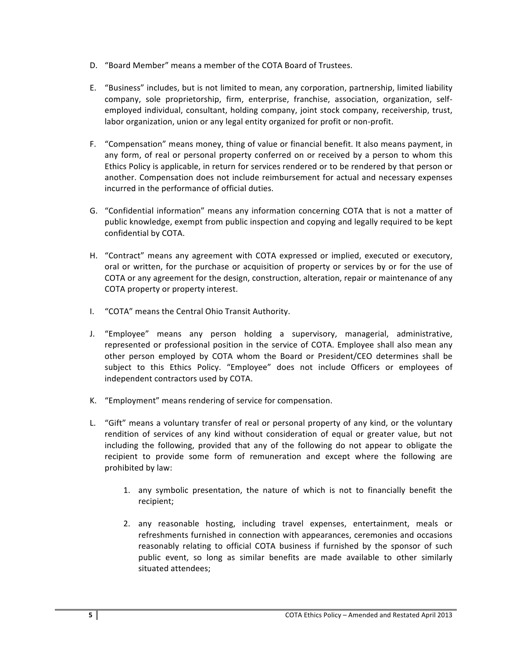- D. "Board Member" means a member of the COTA Board of Trustees.
- E. "Business" includes, but is not limited to mean, any corporation, partnership, limited liability company, sole proprietorship, firm, enterprise, franchise, association, organization, selfemployed individual, consultant, holding company, joint stock company, receivership, trust, labor organization, union or any legal entity organized for profit or non-profit.
- F. "Compensation" means money, thing of value or financial benefit. It also means payment, in any form, of real or personal property conferred on or received by a person to whom this Ethics Policy is applicable, in return for services rendered or to be rendered by that person or another. Compensation does not include reimbursement for actual and necessary expenses incurred in the performance of official duties.
- G. "Confidential information" means any information concerning COTA that is not a matter of public knowledge, exempt from public inspection and copying and legally required to be kept confidential by COTA.
- H. "Contract" means any agreement with COTA expressed or implied, executed or executory, oral or written, for the purchase or acquisition of property or services by or for the use of COTA or any agreement for the design, construction, alteration, repair or maintenance of any COTA property or property interest.
- I. "COTA" means the Central Ohio Transit Authority.
- J. "Employee" means any person holding a supervisory, managerial, administrative, represented or professional position in the service of COTA. Employee shall also mean any other person employed by COTA whom the Board or President/CEO determines shall be subject to this Ethics Policy. "Employee" does not include Officers or employees of independent contractors used by COTA.
- K. "Employment" means rendering of service for compensation.
- L. "Gift" means a voluntary transfer of real or personal property of any kind, or the voluntary rendition of services of any kind without consideration of equal or greater value, but not including the following, provided that any of the following do not appear to obligate the recipient to provide some form of remuneration and except where the following are prohibited by law:
	- 1. any symbolic presentation, the nature of which is not to financially benefit the recipient;
	- 2. any reasonable hosting, including travel expenses, entertainment, meals or refreshments furnished in connection with appearances, ceremonies and occasions reasonably relating to official COTA business if furnished by the sponsor of such public event, so long as similar benefits are made available to other similarly situated attendees;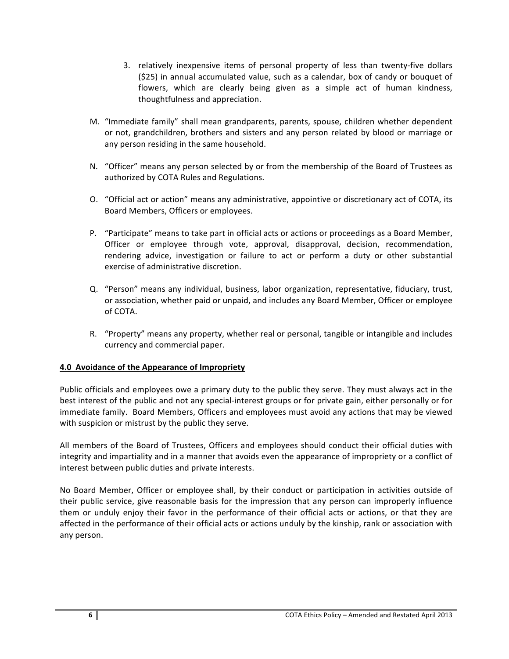- 3. relatively inexpensive items of personal property of less than twenty-five dollars (\$25) in annual accumulated value, such as a calendar, box of candy or bouquet of flowers, which are clearly being given as a simple act of human kindness, thoughtfulness and appreciation.
- M. "Immediate family" shall mean grandparents, parents, spouse, children whether dependent or not, grandchildren, brothers and sisters and any person related by blood or marriage or any person residing in the same household.
- N. "Officer" means any person selected by or from the membership of the Board of Trustees as authorized by COTA Rules and Regulations.
- O. "Official act or action" means any administrative, appointive or discretionary act of COTA, its Board Members, Officers or employees.
- P. "Participate" means to take part in official acts or actions or proceedings as a Board Member, Officer or employee through vote, approval, disapproval, decision, recommendation, rendering advice, investigation or failure to act or perform a duty or other substantial exercise of administrative discretion.
- Q. "Person" means any individual, business, labor organization, representative, fiduciary, trust, or association, whether paid or unpaid, and includes any Board Member, Officer or employee of COTA.
- R. "Property" means any property, whether real or personal, tangible or intangible and includes currency and commercial paper.

# **4.0 Avoidance of the Appearance of Impropriety**

Public officials and employees owe a primary duty to the public they serve. They must always act in the best interest of the public and not any special-interest groups or for private gain, either personally or for immediate family. Board Members, Officers and employees must avoid any actions that may be viewed with suspicion or mistrust by the public they serve.

All members of the Board of Trustees, Officers and employees should conduct their official duties with integrity and impartiality and in a manner that avoids even the appearance of impropriety or a conflict of interest between public duties and private interests.

No Board Member, Officer or employee shall, by their conduct or participation in activities outside of their public service, give reasonable basis for the impression that any person can improperly influence them or unduly enjoy their favor in the performance of their official acts or actions, or that they are affected in the performance of their official acts or actions unduly by the kinship, rank or association with any person.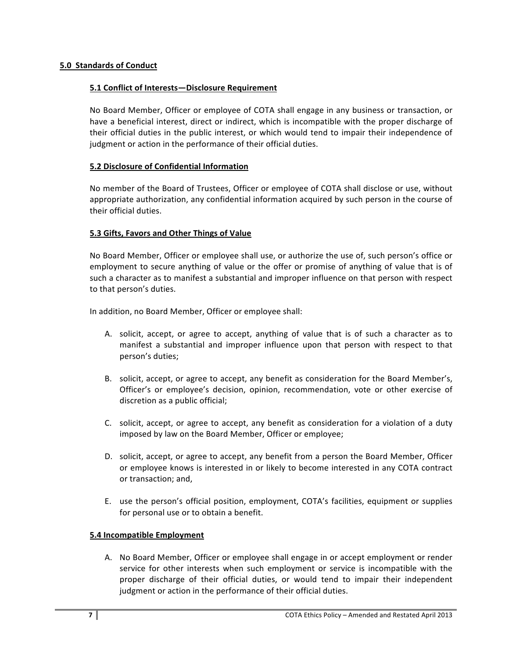## **5.1 Conflict of Interests—Disclosure Requirement**

No Board Member, Officer or employee of COTA shall engage in any business or transaction, or have a beneficial interest, direct or indirect, which is incompatible with the proper discharge of their official duties in the public interest, or which would tend to impair their independence of judgment or action in the performance of their official duties.

## **5.2 Disclosure of Confidential Information**

No member of the Board of Trustees, Officer or employee of COTA shall disclose or use, without appropriate authorization, any confidential information acquired by such person in the course of their official duties.

## **5.3 Gifts, Favors and Other Things of Value**

No Board Member, Officer or employee shall use, or authorize the use of, such person's office or employment to secure anything of value or the offer or promise of anything of value that is of such a character as to manifest a substantial and improper influence on that person with respect to that person's duties.

In addition, no Board Member, Officer or employee shall:

- A. solicit, accept, or agree to accept, anything of value that is of such a character as to manifest a substantial and improper influence upon that person with respect to that person's duties;
- B. solicit, accept, or agree to accept, any benefit as consideration for the Board Member's, Officer's or employee's decision, opinion, recommendation, vote or other exercise of discretion as a public official;
- C. solicit, accept, or agree to accept, any benefit as consideration for a violation of a duty imposed by law on the Board Member, Officer or employee;
- D. solicit, accept, or agree to accept, any benefit from a person the Board Member, Officer or employee knows is interested in or likely to become interested in any COTA contract or transaction; and,
- E. use the person's official position, employment, COTA's facilities, equipment or supplies for personal use or to obtain a benefit.

## **5.4 Incompatible Employment**

A. No Board Member, Officer or employee shall engage in or accept employment or render service for other interests when such employment or service is incompatible with the proper discharge of their official duties, or would tend to impair their independent judgment or action in the performance of their official duties.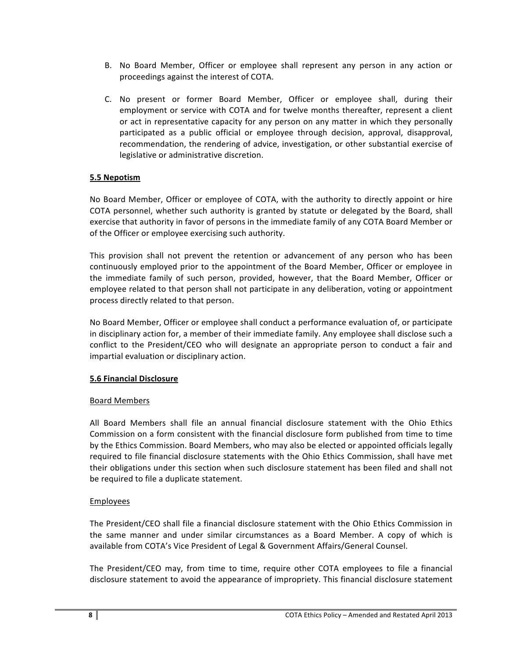- B. No Board Member, Officer or employee shall represent any person in any action or proceedings against the interest of COTA.
- C. No present or former Board Member, Officer or employee shall, during their employment or service with COTA and for twelve months thereafter, represent a client or act in representative capacity for any person on any matter in which they personally participated as a public official or employee through decision, approval, disapproval, recommendation, the rendering of advice, investigation, or other substantial exercise of legislative or administrative discretion.

## **5.5 Nepotism**

No Board Member, Officer or employee of COTA, with the authority to directly appoint or hire COTA personnel, whether such authority is granted by statute or delegated by the Board, shall exercise that authority in favor of persons in the immediate family of any COTA Board Member or of the Officer or employee exercising such authority.

This provision shall not prevent the retention or advancement of any person who has been continuously employed prior to the appointment of the Board Member, Officer or employee in the immediate family of such person, provided, however, that the Board Member, Officer or employee related to that person shall not participate in any deliberation, voting or appointment process directly related to that person.

No Board Member, Officer or employee shall conduct a performance evaluation of, or participate in disciplinary action for, a member of their immediate family. Any employee shall disclose such a conflict to the President/CEO who will designate an appropriate person to conduct a fair and impartial evaluation or disciplinary action.

## **5.6 Financial Disclosure**

## Board Members

All Board Members shall file an annual financial disclosure statement with the Ohio Ethics Commission on a form consistent with the financial disclosure form published from time to time by the Ethics Commission. Board Members, who may also be elected or appointed officials legally required to file financial disclosure statements with the Ohio Ethics Commission, shall have met their obligations under this section when such disclosure statement has been filed and shall not be required to file a duplicate statement.

# **Employees**

The President/CEO shall file a financial disclosure statement with the Ohio Ethics Commission in the same manner and under similar circumstances as a Board Member. A copy of which is available from COTA's Vice President of Legal & Government Affairs/General Counsel.

The President/CEO may, from time to time, require other COTA employees to file a financial disclosure statement to avoid the appearance of impropriety. This financial disclosure statement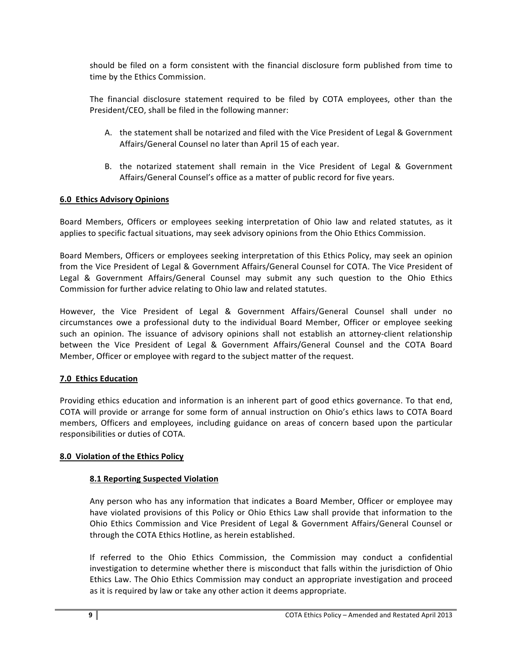should be filed on a form consistent with the financial disclosure form published from time to time by the Ethics Commission.

The financial disclosure statement required to be filed by COTA employees, other than the President/CEO, shall be filed in the following manner:

- A. the statement shall be notarized and filed with the Vice President of Legal & Government Affairs/General Counsel no later than April 15 of each year.
- B. the notarized statement shall remain in the Vice President of Legal & Government Affairs/General Counsel's office as a matter of public record for five years.

## **6.0 Ethics Advisory Opinions**

Board Members, Officers or employees seeking interpretation of Ohio law and related statutes, as it applies to specific factual situations, may seek advisory opinions from the Ohio Ethics Commission.

Board Members, Officers or employees seeking interpretation of this Ethics Policy, may seek an opinion from the Vice President of Legal & Government Affairs/General Counsel for COTA. The Vice President of Legal & Government Affairs/General Counsel may submit any such question to the Ohio Ethics Commission for further advice relating to Ohio law and related statutes.

However, the Vice President of Legal & Government Affairs/General Counsel shall under no circumstances owe a professional duty to the individual Board Member, Officer or employee seeking such an opinion. The issuance of advisory opinions shall not establish an attorney-client relationship between the Vice President of Legal & Government Affairs/General Counsel and the COTA Board Member, Officer or employee with regard to the subject matter of the request.

## **7.0 Ethics Education**

Providing ethics education and information is an inherent part of good ethics governance. To that end, COTA will provide or arrange for some form of annual instruction on Ohio's ethics laws to COTA Board members, Officers and employees, including guidance on areas of concern based upon the particular responsibilities or duties of COTA.

## **8.0 Violation of the Ethics Policy**

## **8.1 Reporting Suspected Violation**

Any person who has any information that indicates a Board Member, Officer or employee may have violated provisions of this Policy or Ohio Ethics Law shall provide that information to the Ohio Ethics Commission and Vice President of Legal & Government Affairs/General Counsel or through the COTA Ethics Hotline, as herein established.

If referred to the Ohio Ethics Commission, the Commission may conduct a confidential investigation to determine whether there is misconduct that falls within the jurisdiction of Ohio Ethics Law. The Ohio Ethics Commission may conduct an appropriate investigation and proceed as it is required by law or take any other action it deems appropriate.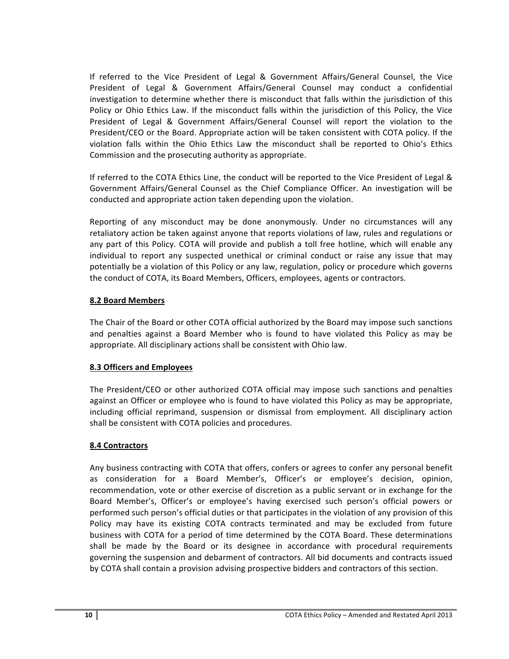If referred to the Vice President of Legal & Government Affairs/General Counsel, the Vice President of Legal & Government Affairs/General Counsel may conduct a confidential investigation to determine whether there is misconduct that falls within the jurisdiction of this Policy or Ohio Ethics Law. If the misconduct falls within the jurisdiction of this Policy, the Vice President of Legal & Government Affairs/General Counsel will report the violation to the President/CEO or the Board. Appropriate action will be taken consistent with COTA policy. If the violation falls within the Ohio Ethics Law the misconduct shall be reported to Ohio's Ethics Commission and the prosecuting authority as appropriate.

If referred to the COTA Ethics Line, the conduct will be reported to the Vice President of Legal & Government Affairs/General Counsel as the Chief Compliance Officer. An investigation will be conducted and appropriate action taken depending upon the violation.

Reporting of any misconduct may be done anonymously. Under no circumstances will any retaliatory action be taken against anyone that reports violations of law, rules and regulations or any part of this Policy. COTA will provide and publish a toll free hotline, which will enable any individual to report any suspected unethical or criminal conduct or raise any issue that may potentially be a violation of this Policy or any law, regulation, policy or procedure which governs the conduct of COTA, its Board Members, Officers, employees, agents or contractors.

## **8.2 Board Members**

The Chair of the Board or other COTA official authorized by the Board may impose such sanctions and penalties against a Board Member who is found to have violated this Policy as may be appropriate. All disciplinary actions shall be consistent with Ohio law.

# **8.3 Officers and Employees**

The President/CEO or other authorized COTA official may impose such sanctions and penalties against an Officer or employee who is found to have violated this Policy as may be appropriate, including official reprimand, suspension or dismissal from employment. All disciplinary action shall be consistent with COTA policies and procedures.

# **8.4 Contractors**

Any business contracting with COTA that offers, confers or agrees to confer any personal benefit as consideration for a Board Member's, Officer's or employee's decision, opinion, recommendation, vote or other exercise of discretion as a public servant or in exchange for the Board Member's, Officer's or employee's having exercised such person's official powers or performed such person's official duties or that participates in the violation of any provision of this Policy may have its existing COTA contracts terminated and may be excluded from future business with COTA for a period of time determined by the COTA Board. These determinations shall be made by the Board or its designee in accordance with procedural requirements governing the suspension and debarment of contractors. All bid documents and contracts issued by COTA shall contain a provision advising prospective bidders and contractors of this section.